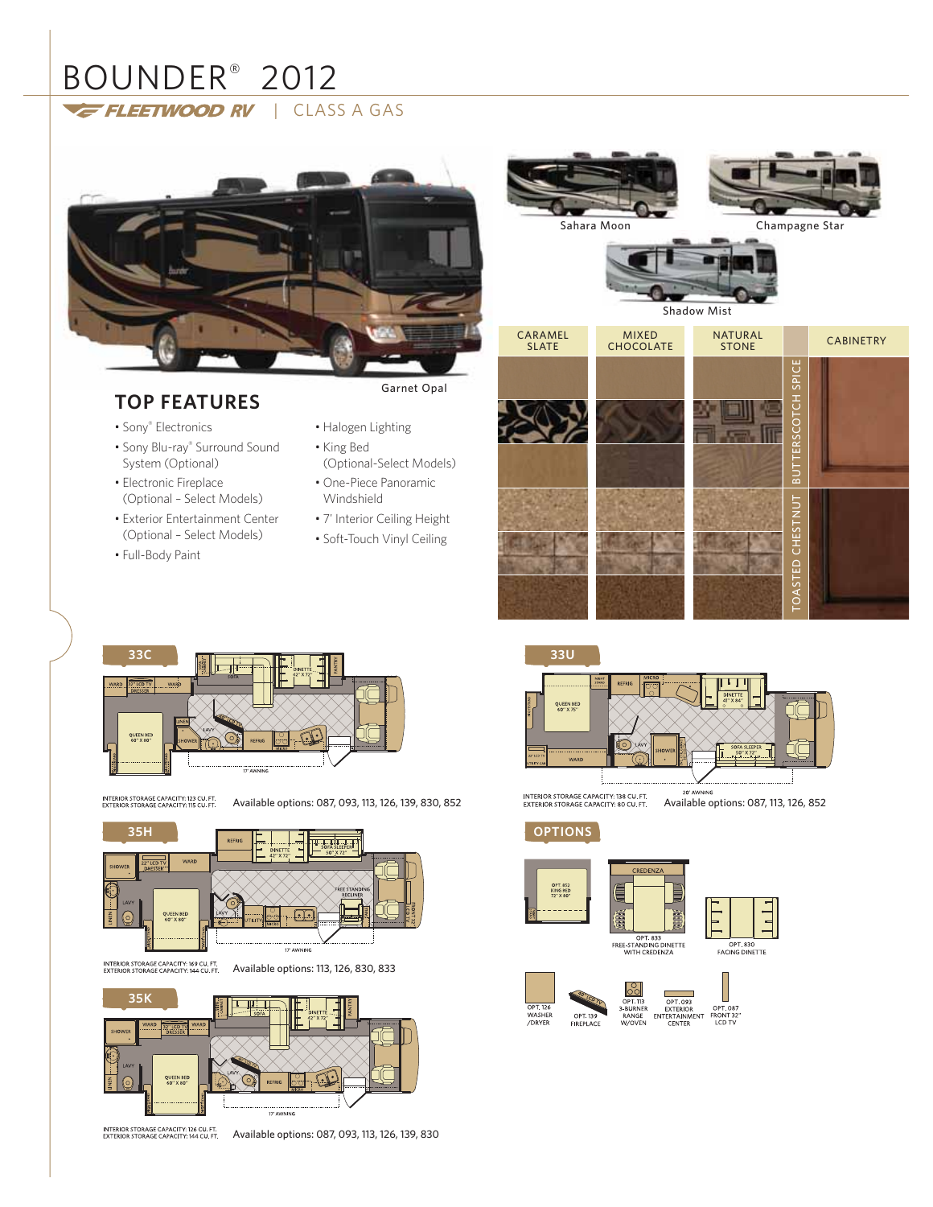# BOUNDER<sup>®</sup> 2012 FLEETWOOD RV | CLASS A GAS

# **TOP FEATURES**

- 
- 

Garnet Opal

- Sony® Electronics
- Sony Blu-ray® Surround Sound System (Optional)
- Electronic Fireplace (Optional – Select Models)
- Exterior Entertainment Center (Optional – Select Models)
- Full-Body Paint
- Halogen Lighting
- King Bed (Optional-Select Models)
- One-Piece Panoramic Windshield
- 7' Interior Ceiling Height
- Soft-Touch Vinyl Ceiling





INTERIOR STORAGE CAPACITY: 123 CU. FT<br>EXTERIOR STORAGE CAPACITY: 115 CU. FT

Available options: 087, 093, 113, 126, 139, 830, 852



INTERIOR STORAGE CAPACITY: 169 CU. FT.<br>EXTERIOR STORAGE CAPACITY: 144 CU. FT.

Available options: 113, 126, 830, 833





INTERIOR STORAGE CAPACITY: 126 CU. FT.<br>EXTERIOR STORAGE CAPACITY: 144 CU. FT. Available options: 087, 093, 113, 126, 139, 830



INTERIOR STORAGE CAPACITY: 138 CU. FT.<br>EXTERIOR STORAGE CAPACITY: 80 CU. FT.

20' AWNING<br>Available options: 087, 113, 126, 852

**OPTIONS**